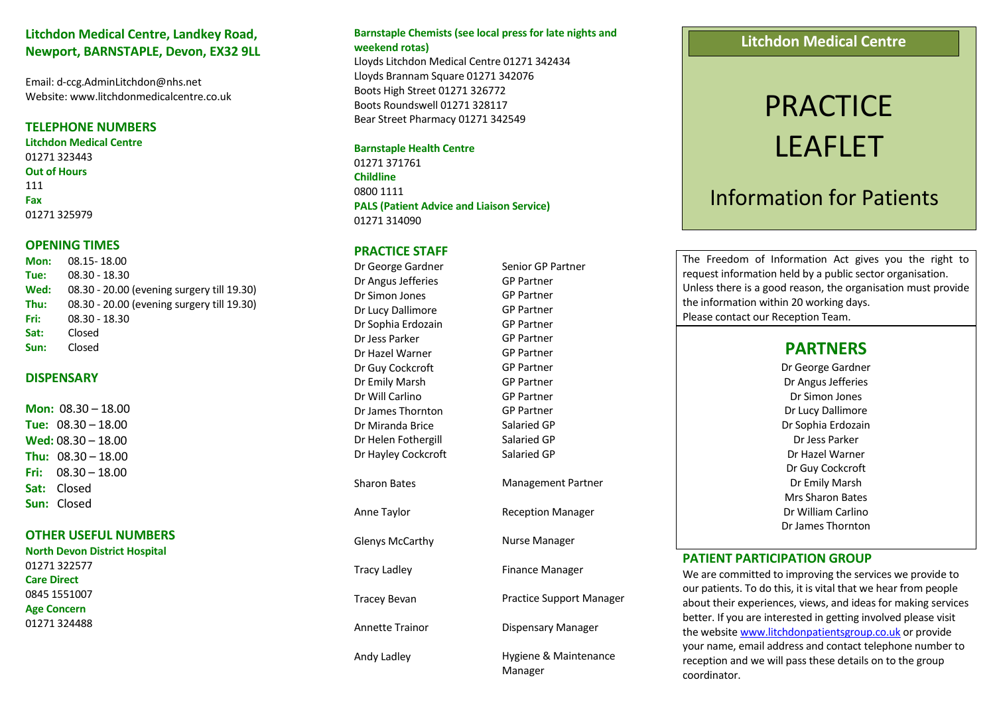## **Litchdon Medical Centre, Landkey Road, Newport, BARNSTAPLE, Devon, EX32 9LL**

Email: d-ccg.AdminLitchdon@nhs.net Website: www.litchdonmedicalcentre.co.uk

#### **TELEPHONE NUMBERS**

**Litchdon Medical Centre** 01271 323443 **Out of Hours** 111 **Fax** 01271 325979

#### **OPENING TIMES**

**Mon:** 08.15- 18.00 **Tue:** 08.30 - 18.30 **Wed:** 08.30 - 20.00 (evening surgery till 19.30) **Thu:** 08.30 - 20.00 (evening surgery till 19.30) **Fri:** 08.30 - 18.30 **Sat:** Closed **Sun:** Closed

#### **DISPENSARY**

**Mon:** 08.30 – 18.00 **Tue:** 08.30 – 18.00 **Wed:** 08.30 – 18.00 **Thu:** 08.30 – 18.00 **Fri:** 08.30 – 18.00 **Sat:** Closed **Sun:** Closed

#### **OTHER USEFUL NUMBERS**

**North Devon District Hospital**  01271 322577 **Care Direct** 0845 1551007 **Age Concern** 01271 324488

#### **Barnstaple Chemists (see local press for late nights and weekend rotas)**

Lloyds Litchdon Medical Centre 01271 342434 Lloyds Brannam Square 01271 342076 Boots High Street 01271 326772 Boots Roundswell 01271 328117 Bear Street Pharmacy 01271 342549

#### **Barnstaple Health Centre**

01271 371761 **Childline** 0800 1111 **PALS (Patient Advice and Liaison Service)** 01271 314090

#### **PRACTICE STAFF**

Dr George Gardner Dr Angus Jefferies Dr Simon Jones Dr Lucy Dallimore Dr Sophia Erdozain Dr Jess Parker Dr Hazel Warner Dr Guy Cockcroft Dr Emily Marsh Dr Will Carlino Dr James Thornton Dr Miranda Brice Dr Helen Fothergill Dr Hayley Cockcroft Sharon Bates Anne Taylor Glenys McCarthy Tracy Ladley Tracey Bevan Annette Trainor Andy Ladley

Senior GP Partner GP Partner GP Partner GP Partner GP Partner GP Partner GP Partner GP Partner GP Partner GP Partner GP Partner Salaried GP Salaried GP Salaried GP Management Partner Reception Manager Nurse Manager Finance Manager Practice Support Manager Dispensary Manager Hygiene & Maintenance Manager

## **Litchdon Medical Centre**

# **PRACTICE** LEAFLET

# Information for Patients

The Freedom of Information Act gives you the right to request information held by a public sector organisation. Unless there is a good reason, the organisation must provide the information within 20 working days. Please contact our Reception Team.

# **PARTNERS**

Dr George Gardner Dr Angus Jefferies Dr Simon Jones Dr Lucy Dallimore Dr Sophia Erdozain Dr Jess Parker Dr Hazel Warner Dr Guy Cockcroft Dr Emily Marsh Mrs Sharon Bates Dr William Carlino Dr James Thornton

#### **PATIENT PARTICIPATION GROUP**

We are committed to improving the services we provide to our patients. To do this, it is vital that we hear from people about their experiences, views, and ideas for making services better. If you are interested in getting involved please visit the websit[e www.litchdonpatientsgroup.co.uk](http://www.litchdonpatientsgroup.co.uk/) or provide your name, email address and contact telephone number to reception and we will pass these details on to the group coordinator.